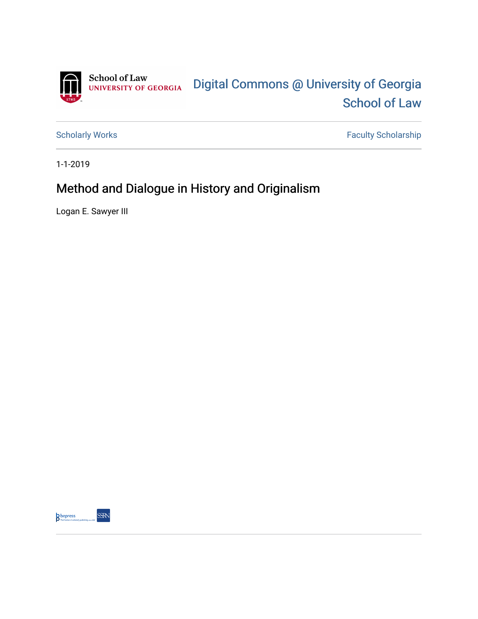

[Scholarly Works](https://digitalcommons.law.uga.edu/fac_artchop) Faculty Scholarship

1-1-2019

# Method and Dialogue in History and Originalism

Logan E. Sawyer III

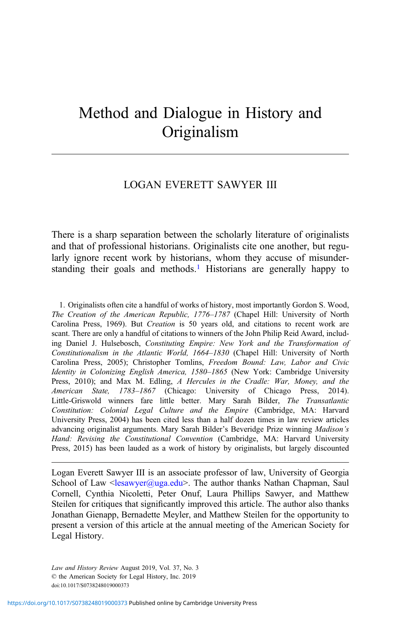# Method and Dialogue in History and Originalism

## LOGAN EVERETT SAWYER III

There is a sharp separation between the scholarly literature of originalists and that of professional historians. Originalists cite one another, but regularly ignore recent work by historians, whom they accuse of misunderstanding their goals and methods.<sup>1</sup> Historians are generally happy to

1. Originalists often cite a handful of works of history, most importantly Gordon S. Wood, The Creation of the American Republic, 1776–1787 (Chapel Hill: University of North Carolina Press, 1969). But Creation is 50 years old, and citations to recent work are scant. There are only a handful of citations to winners of the John Philip Reid Award, including Daniel J. Hulsebosch, Constituting Empire: New York and the Transformation of Constitutionalism in the Atlantic World, 1664–1830 (Chapel Hill: University of North Carolina Press, 2005); Christopher Tomlins, Freedom Bound: Law, Labor and Civic Identity in Colonizing English America, 1580–1865 (New York: Cambridge University Press, 2010); and Max M. Edling, A Hercules in the Cradle: War, Money, and the American State, 1783–1867 (Chicago: University of Chicago Press, 2014). Little-Griswold winners fare little better. Mary Sarah Bilder, The Transatlantic Constitution: Colonial Legal Culture and the Empire (Cambridge, MA: Harvard University Press, 2004) has been cited less than a half dozen times in law review articles advancing originalist arguments. Mary Sarah Bilder's Beveridge Prize winning Madison's Hand: Revising the Constitutional Convention (Cambridge, MA: Harvard University Press, 2015) has been lauded as a work of history by originalists, but largely discounted

Logan Everett Sawyer III is an associate professor of law, University of Georgia School of Law  $\leq$ lesawyer@uga.edu>. The author thanks Nathan Chapman, Saul Cornell, Cynthia Nicoletti, Peter Onuf, Laura Phillips Sawyer, and Matthew Steilen for critiques that significantly improved this article. The author also thanks Jonathan Gienapp, Bernadette Meyler, and Matthew Steilen for the opportunity to present a version of this article at the annual meeting of the American Society for Legal History.

Law and History Review August 2019, Vol. 37, No. 3 © the American Society for Legal History, Inc. 2019 doi:10.1017/S0738248019000373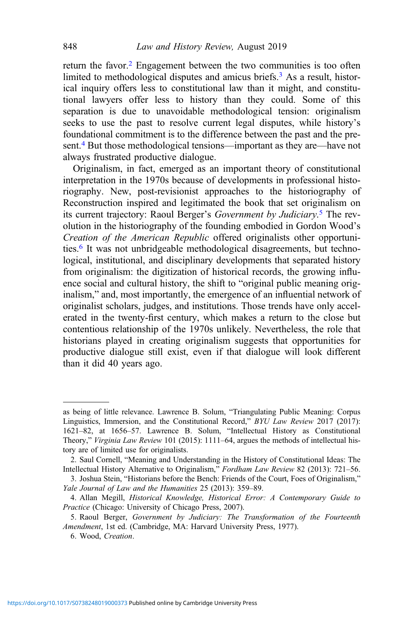return the favor.<sup>2</sup> Engagement between the two communities is too often limited to methodological disputes and amicus briefs.<sup>3</sup> As a result, historical inquiry offers less to constitutional law than it might, and constitutional lawyers offer less to history than they could. Some of this separation is due to unavoidable methodological tension: originalism seeks to use the past to resolve current legal disputes, while history's foundational commitment is to the difference between the past and the present.<sup>4</sup> But those methodological tensions—important as they are—have not always frustrated productive dialogue.

Originalism, in fact, emerged as an important theory of constitutional interpretation in the 1970s because of developments in professional historiography. New, post-revisionist approaches to the historiography of Reconstruction inspired and legitimated the book that set originalism on its current trajectory: Raoul Berger's Government by Judiciary.<sup>5</sup> The revolution in the historiography of the founding embodied in Gordon Wood's Creation of the American Republic offered originalists other opportunities.<sup>6</sup> It was not unbridgeable methodological disagreements, but technological, institutional, and disciplinary developments that separated history from originalism: the digitization of historical records, the growing influence social and cultural history, the shift to "original public meaning originalism," and, most importantly, the emergence of an influential network of originalist scholars, judges, and institutions. Those trends have only accelerated in the twenty-first century, which makes a return to the close but contentious relationship of the 1970s unlikely. Nevertheless, the role that historians played in creating originalism suggests that opportunities for productive dialogue still exist, even if that dialogue will look different than it did 40 years ago.

as being of little relevance. Lawrence B. Solum, "Triangulating Public Meaning: Corpus Linguistics, Immersion, and the Constitutional Record," BYU Law Review 2017 (2017): 1621–82, at 1656–57. Lawrence B. Solum, "Intellectual History as Constitutional Theory," Virginia Law Review 101 (2015): 1111-64, argues the methods of intellectual history are of limited use for originalists.

<sup>2.</sup> Saul Cornell, "Meaning and Understanding in the History of Constitutional Ideas: The Intellectual History Alternative to Originalism," Fordham Law Review 82 (2013): 721–56.

<sup>3.</sup> Joshua Stein, "Historians before the Bench: Friends of the Court, Foes of Originalism," Yale Journal of Law and the Humanities 25 (2013): 359–89.

<sup>4.</sup> Allan Megill, Historical Knowledge, Historical Error: A Contemporary Guide to Practice (Chicago: University of Chicago Press, 2007).

<sup>5.</sup> Raoul Berger, Government by Judiciary: The Transformation of the Fourteenth Amendment, 1st ed. (Cambridge, MA: Harvard University Press, 1977).

<sup>6.</sup> Wood, Creation.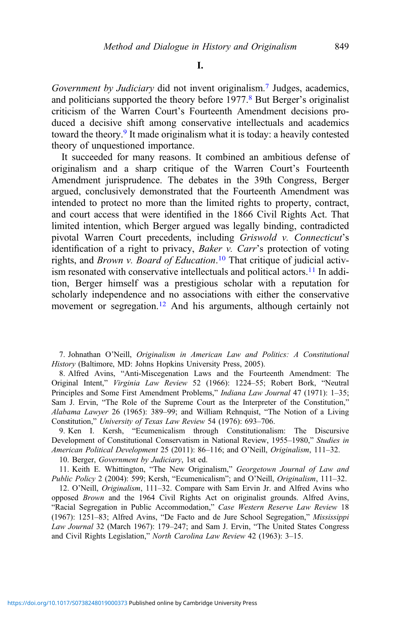Government by Judiciary did not invent originalism.<sup>7</sup> Judges, academics, and politicians supported the theory before 1977.<sup>8</sup> But Berger's originalist criticism of the Warren Court's Fourteenth Amendment decisions produced a decisive shift among conservative intellectuals and academics toward the theory.<sup>9</sup> It made originalism what it is today: a heavily contested theory of unquestioned importance.

It succeeded for many reasons. It combined an ambitious defense of originalism and a sharp critique of the Warren Court's Fourteenth Amendment jurisprudence. The debates in the 39th Congress, Berger argued, conclusively demonstrated that the Fourteenth Amendment was intended to protect no more than the limited rights to property, contract, and court access that were identified in the 1866 Civil Rights Act. That limited intention, which Berger argued was legally binding, contradicted pivotal Warren Court precedents, including Griswold v. Connecticut's identification of a right to privacy, Baker v. Carr's protection of voting rights, and *Brown v. Board of Education*.<sup>10</sup> That critique of judicial activism resonated with conservative intellectuals and political actors.<sup>11</sup> In addition, Berger himself was a prestigious scholar with a reputation for scholarly independence and no associations with either the conservative movement or segregation.<sup>12</sup> And his arguments, although certainly not

7. Johnathan O'Neill, Originalism in American Law and Politics: A Constitutional History (Baltimore, MD: Johns Hopkins University Press, 2005).

8. Alfred Avins, "Anti-Miscegenation Laws and the Fourteenth Amendment: The Original Intent," Virginia Law Review 52 (1966): 1224–55; Robert Bork, "Neutral Principles and Some First Amendment Problems," Indiana Law Journal 47 (1971): 1-35; Sam J. Ervin, "The Role of the Supreme Court as the Interpreter of the Constitution," Alabama Lawyer 26 (1965): 389–99; and William Rehnquist, "The Notion of a Living Constitution," University of Texas Law Review 54 (1976): 693–706.

9. Ken I. Kersh, "Ecumenicalism through Constitutionalism: The Discursive Development of Constitutional Conservatism in National Review, 1955–1980," Studies in American Political Development 25 (2011): 86–116; and O'Neill, Originalism, 111–32.

10. Berger, Government by Judiciary, 1st ed.

11. Keith E. Whittington, "The New Originalism," Georgetown Journal of Law and Public Policy 2 (2004): 599; Kersh, "Ecumenicalism"; and O'Neill, Originalism, 111-32.

12. O'Neill, Originalism, 111–32. Compare with Sam Ervin Jr. and Alfred Avins who opposed Brown and the 1964 Civil Rights Act on originalist grounds. Alfred Avins, "Racial Segregation in Public Accommodation," Case Western Reserve Law Review 18 (1967): 1251–83; Alfred Avins, "De Facto and de Jure School Segregation," Mississippi Law Journal 32 (March 1967): 179–247; and Sam J. Ervin, "The United States Congress and Civil Rights Legislation," North Carolina Law Review 42 (1963): 3–15.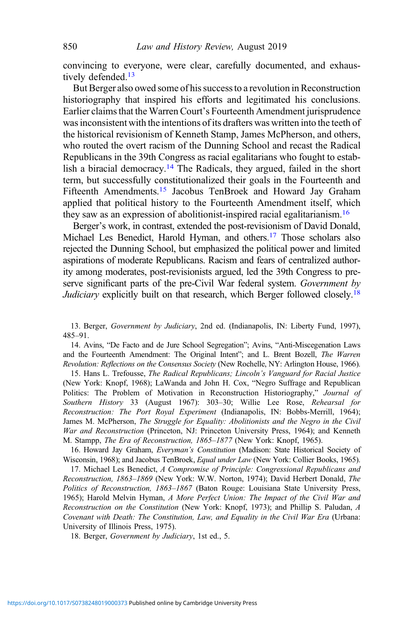convincing to everyone, were clear, carefully documented, and exhaustively defended.<sup>13</sup>

But Berger also owed some of his success to a revolution in Reconstruction historiography that inspired his efforts and legitimated his conclusions. Earlier claims that the Warren Court's Fourteenth Amendment jurisprudence was inconsistent with the intentions of its drafters was written into the teeth of the historical revisionism of Kenneth Stamp, James McPherson, and others, who routed the overt racism of the Dunning School and recast the Radical Republicans in the 39th Congress as racial egalitarians who fought to establish a biracial democracy.<sup>14</sup> The Radicals, they argued, failed in the short term, but successfully constitutionalized their goals in the Fourteenth and Fifteenth Amendments.<sup>15</sup> Jacobus TenBroek and Howard Jay Graham applied that political history to the Fourteenth Amendment itself, which they saw as an expression of abolitionist-inspired racial egalitarianism.16

Berger's work, in contrast, extended the post-revisionism of David Donald, Michael Les Benedict, Harold Hyman, and others.<sup>17</sup> Those scholars also rejected the Dunning School, but emphasized the political power and limited aspirations of moderate Republicans. Racism and fears of centralized authority among moderates, post-revisionists argued, led the 39th Congress to preserve significant parts of the pre-Civil War federal system. Government by Judiciary explicitly built on that research, which Berger followed closely.<sup>18</sup>

13. Berger, Government by Judiciary, 2nd ed. (Indianapolis, IN: Liberty Fund, 1997), 485–91.

14. Avins, "De Facto and de Jure School Segregation"; Avins, "Anti-Miscegenation Laws and the Fourteenth Amendment: The Original Intent"; and L. Brent Bozell, The Warren Revolution: Reflections on the Consensus Society (New Rochelle, NY: Arlington House, 1966).

15. Hans L. Trefousse, The Radical Republicans; Lincoln's Vanguard for Racial Justice (New York: Knopf, 1968); LaWanda and John H. Cox, "Negro Suffrage and Republican Politics: The Problem of Motivation in Reconstruction Historiography," Journal of Southern History 33 (August 1967): 303–30; Willie Lee Rose, Rehearsal for Reconstruction: The Port Royal Experiment (Indianapolis, IN: Bobbs-Merrill, 1964); James M. McPherson, The Struggle for Equality: Abolitionists and the Negro in the Civil War and Reconstruction (Princeton, NJ: Princeton University Press, 1964); and Kenneth M. Stampp, The Era of Reconstruction, 1865–1877 (New York: Knopf, 1965).

16. Howard Jay Graham, Everyman's Constitution (Madison: State Historical Society of Wisconsin, 1968); and Jacobus TenBroek, *Equal under Law* (New York: Collier Books, 1965).

17. Michael Les Benedict, A Compromise of Principle: Congressional Republicans and Reconstruction, 1863–1869 (New York: W.W. Norton, 1974); David Herbert Donald, The Politics of Reconstruction, 1863–1867 (Baton Rouge: Louisiana State University Press, 1965); Harold Melvin Hyman, A More Perfect Union: The Impact of the Civil War and Reconstruction on the Constitution (New York: Knopf, 1973); and Phillip S. Paludan, A Covenant with Death: The Constitution, Law, and Equality in the Civil War Era (Urbana: University of Illinois Press, 1975).

18. Berger, Government by Judiciary, 1st ed., 5.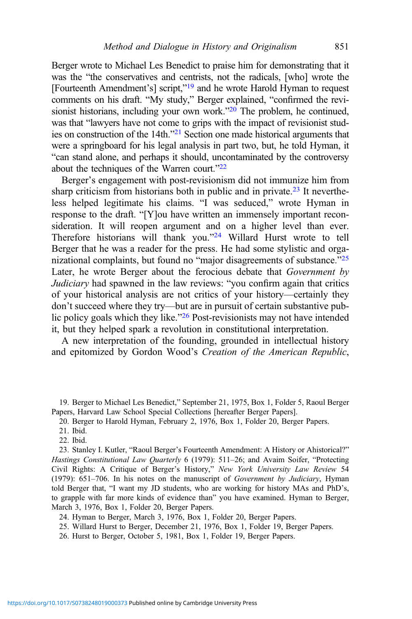Berger wrote to Michael Les Benedict to praise him for demonstrating that it was the "the conservatives and centrists, not the radicals, [who] wrote the [Fourteenth Amendment's] script,"<sup>19</sup> and he wrote Harold Hyman to request comments on his draft. "My study," Berger explained, "confirmed the revisionist historians, including your own work."<sup>20</sup> The problem, he continued, was that "lawyers have not come to grips with the impact of revisionist studies on construction of the 14th."<sup>21</sup> Section one made historical arguments that were a springboard for his legal analysis in part two, but, he told Hyman, it "can stand alone, and perhaps it should, uncontaminated by the controversy about the techniques of the Warren court."<sup>22</sup>

Berger's engagement with post-revisionism did not immunize him from sharp criticism from historians both in public and in private.<sup>23</sup> It nevertheless helped legitimate his claims. "I was seduced," wrote Hyman in response to the draft. "[Y]ou have written an immensely important reconsideration. It will reopen argument and on a higher level than ever. Therefore historians will thank you."<sup>24</sup> Willard Hurst wrote to tell Berger that he was a reader for the press. He had some stylistic and organizational complaints, but found no "major disagreements of substance."<sup>25</sup> Later, he wrote Berger about the ferocious debate that Government by Judiciary had spawned in the law reviews: "you confirm again that critics of your historical analysis are not critics of your history—certainly they don't succeed where they try—but are in pursuit of certain substantive public policy goals which they like."<sup>26</sup> Post-revisionists may not have intended it, but they helped spark a revolution in constitutional interpretation.

A new interpretation of the founding, grounded in intellectual history and epitomized by Gordon Wood's Creation of the American Republic,

19. Berger to Michael Les Benedict," September 21, 1975, Box 1, Folder 5, Raoul Berger Papers, Harvard Law School Special Collections [hereafter Berger Papers].

20. Berger to Harold Hyman, February 2, 1976, Box 1, Folder 20, Berger Papers.

23. Stanley I. Kutler, "Raoul Berger's Fourteenth Amendment: A History or Ahistorical?" Hastings Constitutional Law Quarterly 6 (1979): 511–26; and Avaim Soifer, "Protecting Civil Rights: A Critique of Berger's History," New York University Law Review 54 (1979): 651–706. In his notes on the manuscript of Government by Judiciary, Hyman told Berger that, "I want my JD students, who are working for history MAs and PhD's, to grapple with far more kinds of evidence than" you have examined. Hyman to Berger, March 3, 1976, Box 1, Folder 20, Berger Papers.

24. Hyman to Berger, March 3, 1976, Box 1, Folder 20, Berger Papers.

25. Willard Hurst to Berger, December 21, 1976, Box 1, Folder 19, Berger Papers.

26. Hurst to Berger, October 5, 1981, Box 1, Folder 19, Berger Papers.

<sup>21.</sup> Ibid.

<sup>22.</sup> Ibid.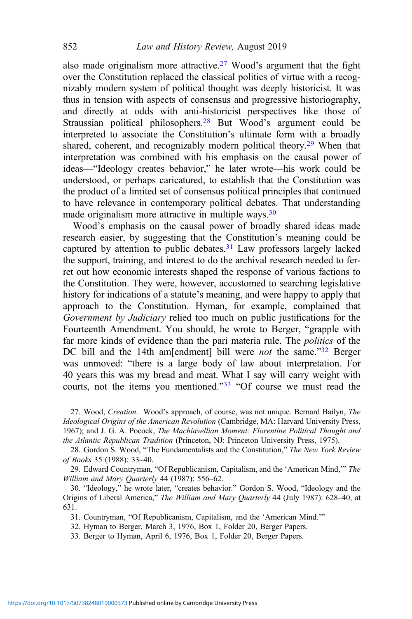also made originalism more attractive.<sup>27</sup> Wood's argument that the fight over the Constitution replaced the classical politics of virtue with a recognizably modern system of political thought was deeply historicist. It was thus in tension with aspects of consensus and progressive historiography, and directly at odds with anti-historicist perspectives like those of Straussian political philosophers.<sup>28</sup> But Wood's argument could be interpreted to associate the Constitution's ultimate form with a broadly shared, coherent, and recognizably modern political theory.<sup>29</sup> When that interpretation was combined with his emphasis on the causal power of ideas—"Ideology creates behavior," he later wrote—his work could be understood, or perhaps caricatured, to establish that the Constitution was the product of a limited set of consensus political principles that continued to have relevance in contemporary political debates. That understanding made originalism more attractive in multiple ways.<sup>30</sup>

Wood's emphasis on the causal power of broadly shared ideas made research easier, by suggesting that the Constitution's meaning could be captured by attention to public debates.<sup>31</sup> Law professors largely lacked the support, training, and interest to do the archival research needed to ferret out how economic interests shaped the response of various factions to the Constitution. They were, however, accustomed to searching legislative history for indications of a statute's meaning, and were happy to apply that approach to the Constitution. Hyman, for example, complained that Government by Judiciary relied too much on public justifications for the Fourteenth Amendment. You should, he wrote to Berger, "grapple with far more kinds of evidence than the pari materia rule. The *politics* of the DC bill and the 14th am[endment] bill were *not* the same."<sup>32</sup> Berger was unmoved: "there is a large body of law about interpretation. For 40 years this was my bread and meat. What I say will carry weight with courts, not the items you mentioned."<sup>33</sup> "Of course we must read the

27. Wood, Creation. Wood's approach, of course, was not unique. Bernard Bailyn, The Ideological Origins of the American Revolution (Cambridge, MA: Harvard University Press, 1967); and J. G. A. Pocock, The Machiavellian Moment: Florentine Political Thought and the Atlantic Republican Tradition (Princeton, NJ: Princeton University Press, 1975).

28. Gordon S. Wood, "The Fundamentalists and the Constitution," The New York Review of Books 35 (1988): 33–40.

29. Edward Countryman, "Of Republicanism, Capitalism, and the 'American Mind,'" The William and Mary Quarterly 44 (1987): 556–62.

30. "Ideology," he wrote later, "creates behavior." Gordon S. Wood, "Ideology and the Origins of Liberal America," The William and Mary Quarterly 44 (July 1987): 628–40, at 631.

31. Countryman, "Of Republicanism, Capitalism, and the 'American Mind.'"

- 32. Hyman to Berger, March 3, 1976, Box 1, Folder 20, Berger Papers.
- 33. Berger to Hyman, April 6, 1976, Box 1, Folder 20, Berger Papers.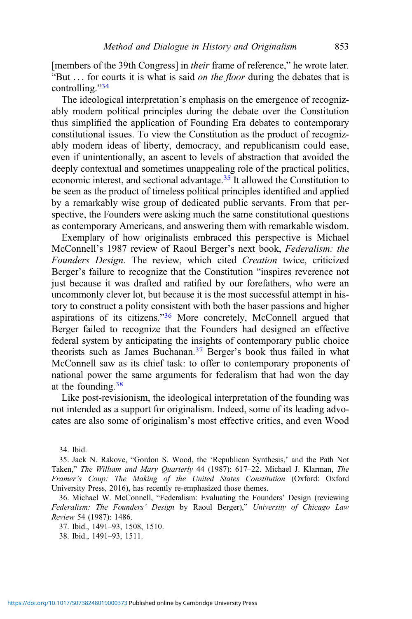[members of the 39th Congress] in *their* frame of reference," he wrote later. "But ... for courts it is what is said *on the floor* during the debates that is controlling."34

The ideological interpretation's emphasis on the emergence of recognizably modern political principles during the debate over the Constitution thus simplified the application of Founding Era debates to contemporary constitutional issues. To view the Constitution as the product of recognizably modern ideas of liberty, democracy, and republicanism could ease, even if unintentionally, an ascent to levels of abstraction that avoided the deeply contextual and sometimes unappealing role of the practical politics, economic interest, and sectional advantage.35 It allowed the Constitution to be seen as the product of timeless political principles identified and applied by a remarkably wise group of dedicated public servants. From that perspective, the Founders were asking much the same constitutional questions as contemporary Americans, and answering them with remarkable wisdom.

Exemplary of how originalists embraced this perspective is Michael McConnell's 1987 review of Raoul Berger's next book, Federalism: the Founders Design. The review, which cited Creation twice, criticized Berger's failure to recognize that the Constitution "inspires reverence not just because it was drafted and ratified by our forefathers, who were an uncommonly clever lot, but because it is the most successful attempt in history to construct a polity consistent with both the baser passions and higher aspirations of its citizens."<sup>36</sup> More concretely, McConnell argued that Berger failed to recognize that the Founders had designed an effective federal system by anticipating the insights of contemporary public choice theorists such as James Buchanan.37 Berger's book thus failed in what McConnell saw as its chief task: to offer to contemporary proponents of national power the same arguments for federalism that had won the day at the founding. $38$ 

Like post-revisionism, the ideological interpretation of the founding was not intended as a support for originalism. Indeed, some of its leading advocates are also some of originalism's most effective critics, and even Wood

34. Ibid.

35. Jack N. Rakove, "Gordon S. Wood, the 'Republican Synthesis,' and the Path Not Taken," The William and Mary Quarterly 44 (1987): 617–22. Michael J. Klarman, The Framer's Coup: The Making of the United States Constitution (Oxford: Oxford University Press, 2016), has recently re-emphasized those themes.

36. Michael W. McConnell, "Federalism: Evaluating the Founders' Design (reviewing Federalism: The Founders' Design by Raoul Berger)," University of Chicago Law Review 54 (1987): 1486.

37. Ibid., 1491–93, 1508, 1510.

38. Ibid., 1491–93, 1511.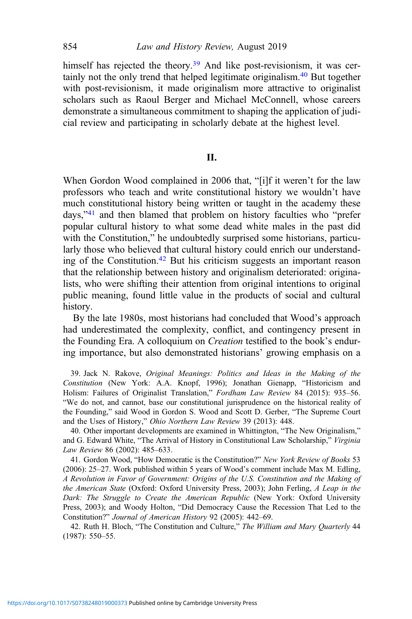himself has rejected the theory.<sup>39</sup> And like post-revisionism, it was certainly not the only trend that helped legitimate originalism.40 But together with post-revisionism, it made originalism more attractive to originalist scholars such as Raoul Berger and Michael McConnell, whose careers demonstrate a simultaneous commitment to shaping the application of judicial review and participating in scholarly debate at the highest level.

#### II.

When Gordon Wood complained in 2006 that, "[i]f it weren't for the law professors who teach and write constitutional history we wouldn't have much constitutional history being written or taught in the academy these days,"<sup>41</sup> and then blamed that problem on history faculties who "prefer popular cultural history to what some dead white males in the past did with the Constitution," he undoubtedly surprised some historians, particularly those who believed that cultural history could enrich our understanding of the Constitution.42 But his criticism suggests an important reason that the relationship between history and originalism deteriorated: originalists, who were shifting their attention from original intentions to original public meaning, found little value in the products of social and cultural history.

By the late 1980s, most historians had concluded that Wood's approach had underestimated the complexity, conflict, and contingency present in the Founding Era. A colloquium on Creation testified to the book's enduring importance, but also demonstrated historians' growing emphasis on a

39. Jack N. Rakove, Original Meanings: Politics and Ideas in the Making of the Constitution (New York: A.A. Knopf, 1996); Jonathan Gienapp, "Historicism and Holism: Failures of Originalist Translation," Fordham Law Review 84 (2015): 935–56. "We do not, and cannot, base our constitutional jurisprudence on the historical reality of the Founding," said Wood in Gordon S. Wood and Scott D. Gerber, "The Supreme Court and the Uses of History," Ohio Northern Law Review 39 (2013): 448.

40. Other important developments are examined in Whittington, "The New Originalism," and G. Edward White, "The Arrival of History in Constitutional Law Scholarship," Virginia Law Review 86 (2002): 485–633.

41. Gordon Wood, "How Democratic is the Constitution?" New York Review of Books 53 (2006): 25–27. Work published within 5 years of Wood's comment include Max M. Edling, A Revolution in Favor of Government: Origins of the U.S. Constitution and the Making of the American State (Oxford: Oxford University Press, 2003); John Ferling, A Leap in the Dark: The Struggle to Create the American Republic (New York: Oxford University Press, 2003); and Woody Holton, "Did Democracy Cause the Recession That Led to the Constitution?" Journal of American History 92 (2005): 442–69.

42. Ruth H. Bloch, "The Constitution and Culture," The William and Mary Quarterly 44 (1987): 550–55.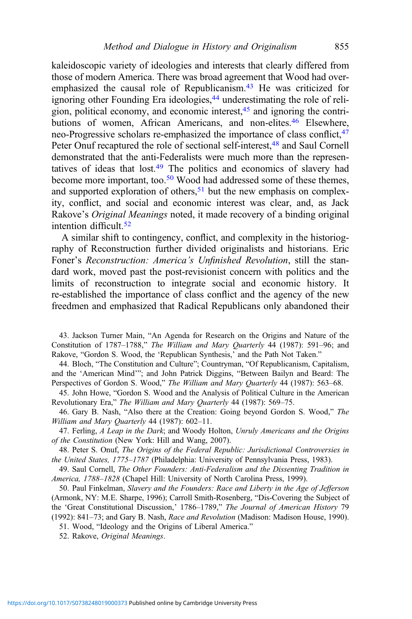kaleidoscopic variety of ideologies and interests that clearly differed from those of modern America. There was broad agreement that Wood had overemphasized the causal role of Republicanism.<sup>43</sup> He was criticized for ignoring other Founding Era ideologies,<sup>44</sup> underestimating the role of religion, political economy, and economic interest,<sup>45</sup> and ignoring the contributions of women, African Americans, and non-elites.<sup>46</sup> Elsewhere, neo-Progressive scholars re-emphasized the importance of class conflict, <sup>47</sup> Peter Onuf recaptured the role of sectional self-interest,<sup>48</sup> and Saul Cornell demonstrated that the anti-Federalists were much more than the representatives of ideas that  $lost<sup>49</sup>$ . The politics and economics of slavery had become more important, too.<sup>50</sup> Wood had addressed some of these themes, and supported exploration of others,  $51$  but the new emphasis on complexity, conflict, and social and economic interest was clear, and, as Jack Rakove's Original Meanings noted, it made recovery of a binding original intention difficult. $52$ 

A similar shift to contingency, conflict, and complexity in the historiography of Reconstruction further divided originalists and historians. Eric Foner's Reconstruction: America's Unfinished Revolution, still the standard work, moved past the post-revisionist concern with politics and the limits of reconstruction to integrate social and economic history. It re-established the importance of class conflict and the agency of the new freedmen and emphasized that Radical Republicans only abandoned their

43. Jackson Turner Main, "An Agenda for Research on the Origins and Nature of the Constitution of 1787–1788," The William and Mary Quarterly 44 (1987): 591–96; and Rakove, "Gordon S. Wood, the 'Republican Synthesis,' and the Path Not Taken."

44. Bloch, "The Constitution and Culture"; Countryman, "Of Republicanism, Capitalism, and the 'American Mind'"; and John Patrick Diggins, "Between Bailyn and Beard: The Perspectives of Gordon S. Wood," The William and Mary Quarterly 44 (1987): 563-68.

45. John Howe, "Gordon S. Wood and the Analysis of Political Culture in the American Revolutionary Era," The William and Mary Quarterly 44 (1987): 569–75.

46. Gary B. Nash, "Also there at the Creation: Going beyond Gordon S. Wood," The William and Mary Quarterly 44 (1987): 602-11.

47. Ferling, A Leap in the Dark; and Woody Holton, Unruly Americans and the Origins of the Constitution (New York: Hill and Wang, 2007).

48. Peter S. Onuf, The Origins of the Federal Republic: Jurisdictional Controversies in the United States, 1775–1787 (Philadelphia: University of Pennsylvania Press, 1983).

49. Saul Cornell, The Other Founders: Anti-Federalism and the Dissenting Tradition in America, 1788–1828 (Chapel Hill: University of North Carolina Press, 1999).

50. Paul Finkelman, Slavery and the Founders: Race and Liberty in the Age of Jefferson (Armonk, NY: M.E. Sharpe, 1996); Carroll Smith-Rosenberg, "Dis-Covering the Subject of the 'Great Constitutional Discussion,' 1786–1789," The Journal of American History 79 (1992): 841–73; and Gary B. Nash, Race and Revolution (Madison: Madison House, 1990).

51. Wood, "Ideology and the Origins of Liberal America."

52. Rakove, Original Meanings.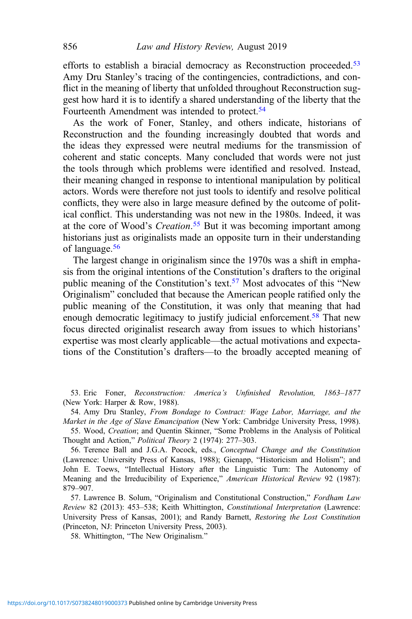efforts to establish a biracial democracy as Reconstruction proceeded.<sup>53</sup> Amy Dru Stanley's tracing of the contingencies, contradictions, and conflict in the meaning of liberty that unfolded throughout Reconstruction suggest how hard it is to identify a shared understanding of the liberty that the Fourteenth Amendment was intended to protect.<sup>54</sup>

As the work of Foner, Stanley, and others indicate, historians of Reconstruction and the founding increasingly doubted that words and the ideas they expressed were neutral mediums for the transmission of coherent and static concepts. Many concluded that words were not just the tools through which problems were identified and resolved. Instead, their meaning changed in response to intentional manipulation by political actors. Words were therefore not just tools to identify and resolve political conflicts, they were also in large measure defined by the outcome of political conflict. This understanding was not new in the 1980s. Indeed, it was at the core of Wood's *Creation*.<sup>55</sup> But it was becoming important among historians just as originalists made an opposite turn in their understanding of language.56

The largest change in originalism since the 1970s was a shift in emphasis from the original intentions of the Constitution's drafters to the original public meaning of the Constitution's text.57 Most advocates of this "New Originalism" concluded that because the American people ratified only the public meaning of the Constitution, it was only that meaning that had enough democratic legitimacy to justify judicial enforcement.<sup>58</sup> That new focus directed originalist research away from issues to which historians' expertise was most clearly applicable—the actual motivations and expectations of the Constitution's drafters—to the broadly accepted meaning of

53. Eric Foner, Reconstruction: America's Unfinished Revolution, 1863–1877 (New York: Harper & Row, 1988).

54. Amy Dru Stanley, From Bondage to Contract: Wage Labor, Marriage, and the Market in the Age of Slave Emancipation (New York: Cambridge University Press, 1998).

55. Wood, Creation; and Quentin Skinner, "Some Problems in the Analysis of Political Thought and Action," Political Theory 2 (1974): 277–303.

56. Terence Ball and J.G.A. Pocock, eds., Conceptual Change and the Constitution (Lawrence: University Press of Kansas, 1988); Gienapp, "Historicism and Holism"; and John E. Toews, "Intellectual History after the Linguistic Turn: The Autonomy of Meaning and the Irreducibility of Experience," American Historical Review 92 (1987): 879–907.

57. Lawrence B. Solum, "Originalism and Constitutional Construction," Fordham Law Review 82 (2013): 453–538; Keith Whittington, Constitutional Interpretation (Lawrence: University Press of Kansas, 2001); and Randy Barnett, Restoring the Lost Constitution (Princeton, NJ: Princeton University Press, 2003).

58. Whittington, "The New Originalism."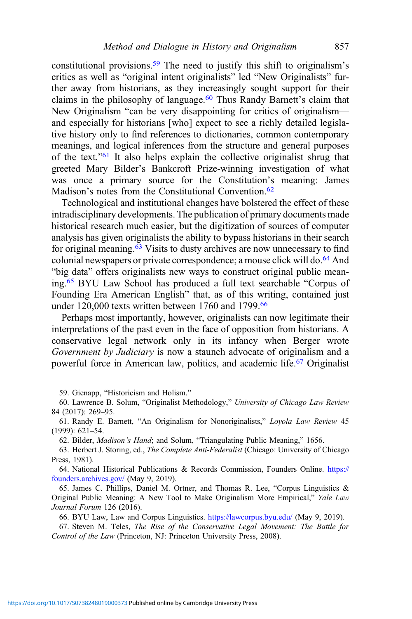constitutional provisions.<sup>59</sup> The need to justify this shift to originalism's critics as well as "original intent originalists" led "New Originalists" further away from historians, as they increasingly sought support for their claims in the philosophy of language.<sup>60</sup> Thus Randy Barnett's claim that New Originalism "can be very disappointing for critics of originalism and especially for historians [who] expect to see a richly detailed legislative history only to find references to dictionaries, common contemporary meanings, and logical inferences from the structure and general purposes of the text."<sup>61</sup> It also helps explain the collective originalist shrug that greeted Mary Bilder's Bankcroft Prize-winning investigation of what was once a primary source for the Constitution's meaning: James Madison's notes from the Constitutional Convention.<sup>62</sup>

Technological and institutional changes have bolstered the effect of these intradisciplinary developments. The publication of primary documents made historical research much easier, but the digitization of sources of computer analysis has given originalists the ability to bypass historians in their search for original meaning.<sup>63</sup> Visits to dusty archives are now unnecessary to find colonial newspapers or private correspondence; a mouse click will do.64 And "big data" offers originalists new ways to construct original public meaning.65 BYU Law School has produced a full text searchable "Corpus of Founding Era American English" that, as of this writing, contained just under 120,000 texts written between 1760 and 1799.<sup>66</sup>

Perhaps most importantly, however, originalists can now legitimate their interpretations of the past even in the face of opposition from historians. A conservative legal network only in its infancy when Berger wrote Government by Judiciary is now a staunch advocate of originalism and a powerful force in American law, politics, and academic life.<sup>67</sup> Originalist

59. Gienapp, "Historicism and Holism."

60. Lawrence B. Solum, "Originalist Methodology," University of Chicago Law Review 84 (2017): 269–95.

61. Randy E. Barnett, "An Originalism for Nonoriginalists," Loyola Law Review 45 (1999): 621–54.

62. Bilder, Madison's Hand; and Solum, "Triangulating Public Meaning," 1656.

63. Herbert J. Storing, ed., The Complete Anti-Federalist (Chicago: University of Chicago Press, 1981).

64. National Historical Publications & Records Commission, Founders Online. [https://](https://founders.archives.gov/) [founders.archives.gov/](https://founders.archives.gov/) (May 9, 2019).

65. James C. Phillips, Daniel M. Ortner, and Thomas R. Lee, "Corpus Linguistics & Original Public Meaning: A New Tool to Make Originalism More Empirical," Yale Law Journal Forum 126 (2016).

66. BYU Law, Law and Corpus Linguistics. <https://lawcorpus.byu.edu/> (May 9, 2019).

67. Steven M. Teles, The Rise of the Conservative Legal Movement: The Battle for Control of the Law (Princeton, NJ: Princeton University Press, 2008).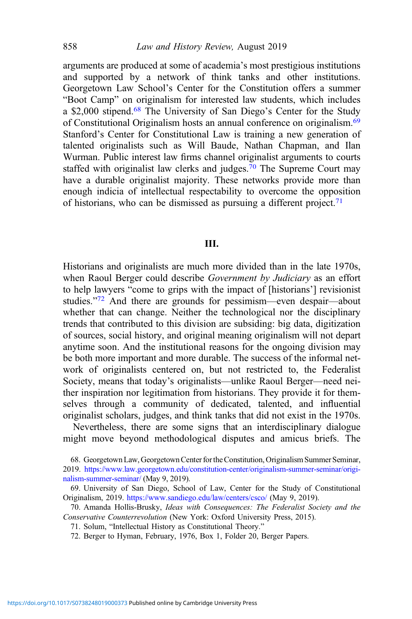arguments are produced at some of academia's most prestigious institutions and supported by a network of think tanks and other institutions. Georgetown Law School's Center for the Constitution offers a summer "Boot Camp" on originalism for interested law students, which includes a \$2,000 stipend.<sup>68</sup> The University of San Diego's Center for the Study of Constitutional Originalism hosts an annual conference on originalism.<sup>69</sup> Stanford's Center for Constitutional Law is training a new generation of talented originalists such as Will Baude, Nathan Chapman, and Ilan Wurman. Public interest law firms channel originalist arguments to courts staffed with originalist law clerks and judges.<sup>70</sup> The Supreme Court may have a durable originalist majority. These networks provide more than enough indicia of intellectual respectability to overcome the opposition of historians, who can be dismissed as pursuing a different project.<sup>71</sup>

### III.

Historians and originalists are much more divided than in the late 1970s, when Raoul Berger could describe Government by Judiciary as an effort to help lawyers "come to grips with the impact of [historians'] revisionist studies."<sup>72</sup> And there are grounds for pessimism—even despair—about whether that can change. Neither the technological nor the disciplinary trends that contributed to this division are subsiding: big data, digitization of sources, social history, and original meaning originalism will not depart anytime soon. And the institutional reasons for the ongoing division may be both more important and more durable. The success of the informal network of originalists centered on, but not restricted to, the Federalist Society, means that today's originalists—unlike Raoul Berger—need neither inspiration nor legitimation from historians. They provide it for themselves through a community of dedicated, talented, and influential originalist scholars, judges, and think tanks that did not exist in the 1970s.

Nevertheless, there are some signs that an interdisciplinary dialogue might move beyond methodological disputes and amicus briefs. The

68. Georgetown Law, Georgetown Center for the Constitution, Originalism Summer Seminar, 2019. [https://www.law.georgetown.edu/constitution-center/originalism-summer-seminar/origi](https://www.law.georgetown.edu/constitution-center/originalism-summer-seminar/originalism-summer-seminar/)[nalism-summer-seminar/](https://www.law.georgetown.edu/constitution-center/originalism-summer-seminar/originalism-summer-seminar/) (May 9, 2019).

69. University of San Diego, School of Law, Center for the Study of Constitutional Originalism, 2019. <https://www.sandiego.edu/law/centers/csco/> (May 9, 2019).

70. Amanda Hollis-Brusky, Ideas with Consequences: The Federalist Society and the Conservative Counterrevolution (New York: Oxford University Press, 2015).

71. Solum, "Intellectual History as Constitutional Theory."

72. Berger to Hyman, February, 1976, Box 1, Folder 20, Berger Papers.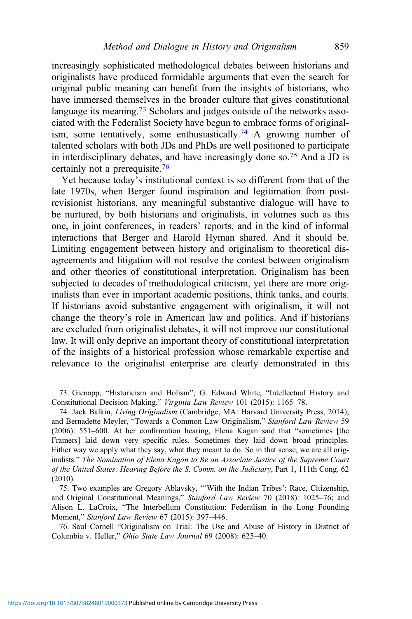increasingly sophisticated methodological debates between historians and originalists have produced formidable arguments that even the search for original public meaning can benefit from the insights of historians, who have immersed themselves in the broader culture that gives constitutional language its meaning.<sup>73</sup> Scholars and judges outside of the networks associated with the Federalist Society have begun to embrace forms of originalism, some tentatively, some enthusiastically.<sup>74</sup> A growing number of talented scholars with both JDs and PhDs are well positioned to participate in interdisciplinary debates, and have increasingly done so.75 And a JD is certainly not a prerequisite.76

Yet because today's institutional context is so different from that of the late 1970s, when Berger found inspiration and legitimation from postrevisionist historians, any meaningful substantive dialogue will have to be nurtured, by both historians and originalists, in volumes such as this one, in joint conferences, in readers' reports, and in the kind of informal interactions that Berger and Harold Hyman shared. And it should be. Limiting engagement between history and originalism to theoretical disagreements and litigation will not resolve the contest between originalism and other theories of constitutional interpretation. Originalism has been subjected to decades of methodological criticism, yet there are more originalists than ever in important academic positions, think tanks, and courts. If historians avoid substantive engagement with originalism, it will not change the theory's role in American law and politics. And if historians are excluded from originalist debates, it will not improve our constitutional law. It will only deprive an important theory of constitutional interpretation of the insights of a historical profession whose remarkable expertise and relevance to the originalist enterprise are clearly demonstrated in this

73. Gienapp, "Historicism and Holism"; G. Edward White, "Intellectual History and Constitutional Decision Making," Virginia Law Review 101 (2015): 1165–78.

74. Jack Balkin, Living Originalism (Cambridge, MA: Harvard University Press, 2014); and Bernadette Meyler, "Towards a Common Law Originalism," Stanford Law Review 59 (2006): 551–600. At her confirmation hearing, Elena Kagan said that "sometimes [the Framers] laid down very specific rules. Sometimes they laid down broad principles. Either way we apply what they say, what they meant to do. So in that sense, we are all originalists." The Nomination of Elena Kagan to Be an Associate Justice of the Supreme Court of the United States: Hearing Before the S. Comm. on the Judiciary, Part 1, 111th Cong. 62 (2010).

75. Two examples are Gregory Ablavsky, "'With the Indian Tribes': Race, Citizenship, and Original Constitutional Meanings," Stanford Law Review 70 (2018): 1025–76; and Alison L. LaCroix, "The Interbellum Constitution: Federalism in the Long Founding Moment," Stanford Law Review 67 (2015): 397–446.

76. Saul Cornell "Originalism on Trial: The Use and Abuse of History in District of Columbia v. Heller," Ohio State Law Journal 69 (2008): 625–40.